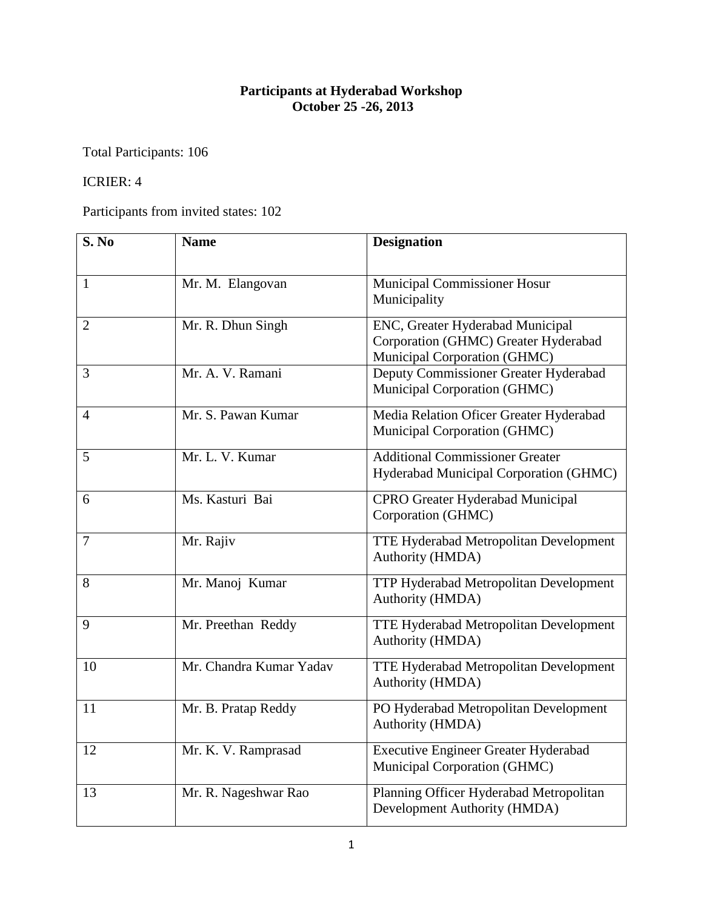## **Participants at Hyderabad Workshop October 25 -26, 2013**

Total Participants: 106

## ICRIER: 4

Participants from invited states: 102

| S. No          | <b>Name</b>             | <b>Designation</b>                                                                                       |
|----------------|-------------------------|----------------------------------------------------------------------------------------------------------|
| $\mathbf{1}$   | Mr. M. Elangovan        | <b>Municipal Commissioner Hosur</b><br>Municipality                                                      |
| $\overline{2}$ | Mr. R. Dhun Singh       | ENC, Greater Hyderabad Municipal<br>Corporation (GHMC) Greater Hyderabad<br>Municipal Corporation (GHMC) |
| 3              | Mr. A. V. Ramani        | Deputy Commissioner Greater Hyderabad<br>Municipal Corporation (GHMC)                                    |
| $\overline{4}$ | Mr. S. Pawan Kumar      | Media Relation Oficer Greater Hyderabad<br>Municipal Corporation (GHMC)                                  |
| 5              | Mr. L. V. Kumar         | <b>Additional Commissioner Greater</b><br>Hyderabad Municipal Corporation (GHMC)                         |
| 6              | Ms. Kasturi Bai         | CPRO Greater Hyderabad Municipal<br>Corporation (GHMC)                                                   |
| $\overline{7}$ | Mr. Rajiv               | <b>TTE Hyderabad Metropolitan Development</b><br>Authority (HMDA)                                        |
| 8              | Mr. Manoj Kumar         | TTP Hyderabad Metropolitan Development<br>Authority (HMDA)                                               |
| 9              | Mr. Preethan Reddy      | TTE Hyderabad Metropolitan Development<br>Authority (HMDA)                                               |
| 10             | Mr. Chandra Kumar Yadav | <b>TTE Hyderabad Metropolitan Development</b><br>Authority (HMDA)                                        |
| 11             | Mr. B. Pratap Reddy     | PO Hyderabad Metropolitan Development<br>Authority (HMDA)                                                |
| 12             | Mr. K. V. Ramprasad     | <b>Executive Engineer Greater Hyderabad</b><br>Municipal Corporation (GHMC)                              |
| 13             | Mr. R. Nageshwar Rao    | Planning Officer Hyderabad Metropolitan<br>Development Authority (HMDA)                                  |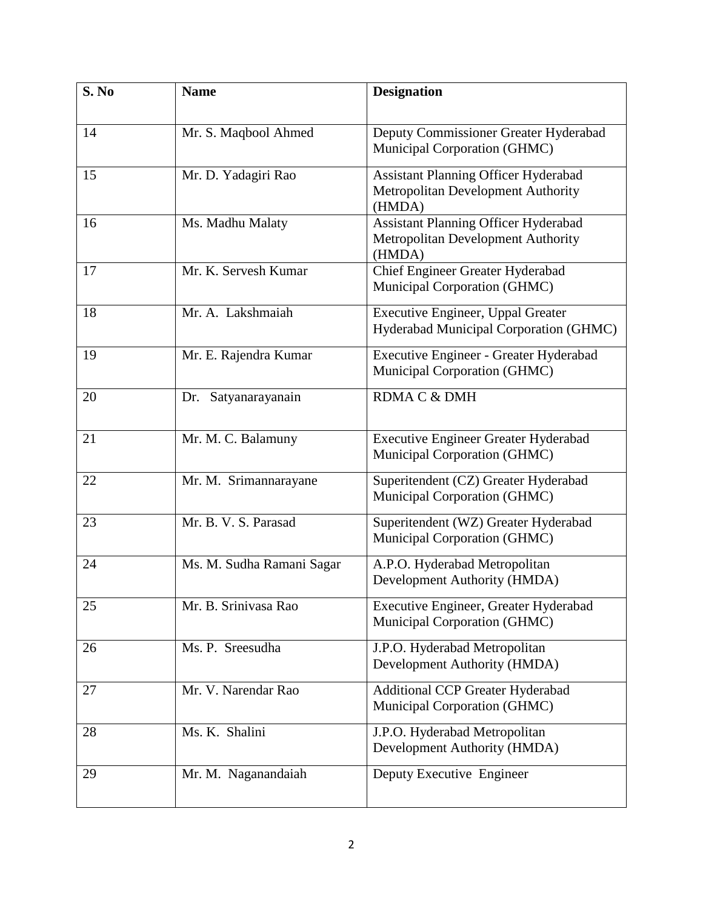| S. No | <b>Name</b>               | <b>Designation</b>                                                                          |
|-------|---------------------------|---------------------------------------------------------------------------------------------|
| 14    | Mr. S. Maqbool Ahmed      | Deputy Commissioner Greater Hyderabad<br>Municipal Corporation (GHMC)                       |
| 15    | Mr. D. Yadagiri Rao       | Assistant Planning Officer Hyderabad<br>Metropolitan Development Authority<br>(HMDA)        |
| 16    | Ms. Madhu Malaty          | <b>Assistant Planning Officer Hyderabad</b><br>Metropolitan Development Authority<br>(HMDA) |
| 17    | Mr. K. Servesh Kumar      | Chief Engineer Greater Hyderabad<br>Municipal Corporation (GHMC)                            |
| 18    | Mr. A. Lakshmaiah         | <b>Executive Engineer, Uppal Greater</b><br>Hyderabad Municipal Corporation (GHMC)          |
| 19    | Mr. E. Rajendra Kumar     | Executive Engineer - Greater Hyderabad<br>Municipal Corporation (GHMC)                      |
| 20    | Satyanarayanain<br>Dr.    | RDMA C & DMH                                                                                |
| 21    | Mr. M. C. Balamuny        | Executive Engineer Greater Hyderabad<br>Municipal Corporation (GHMC)                        |
| 22    | Mr. M. Srimannarayane     | Superitendent (CZ) Greater Hyderabad<br>Municipal Corporation (GHMC)                        |
| 23    | Mr. B. V. S. Parasad      | Superitendent (WZ) Greater Hyderabad<br>Municipal Corporation (GHMC)                        |
| 24    | Ms. M. Sudha Ramani Sagar | A.P.O. Hyderabad Metropolitan<br>Development Authority (HMDA)                               |
| 25    | Mr. B. Srinivasa Rao      | Executive Engineer, Greater Hyderabad<br>Municipal Corporation (GHMC)                       |
| 26    | Ms. P. Sreesudha          | J.P.O. Hyderabad Metropolitan<br>Development Authority (HMDA)                               |
| 27    | Mr. V. Narendar Rao       | <b>Additional CCP Greater Hyderabad</b><br>Municipal Corporation (GHMC)                     |
| 28    | Ms. K. Shalini            | J.P.O. Hyderabad Metropolitan<br>Development Authority (HMDA)                               |
| 29    | Mr. M. Naganandaiah       | Deputy Executive Engineer                                                                   |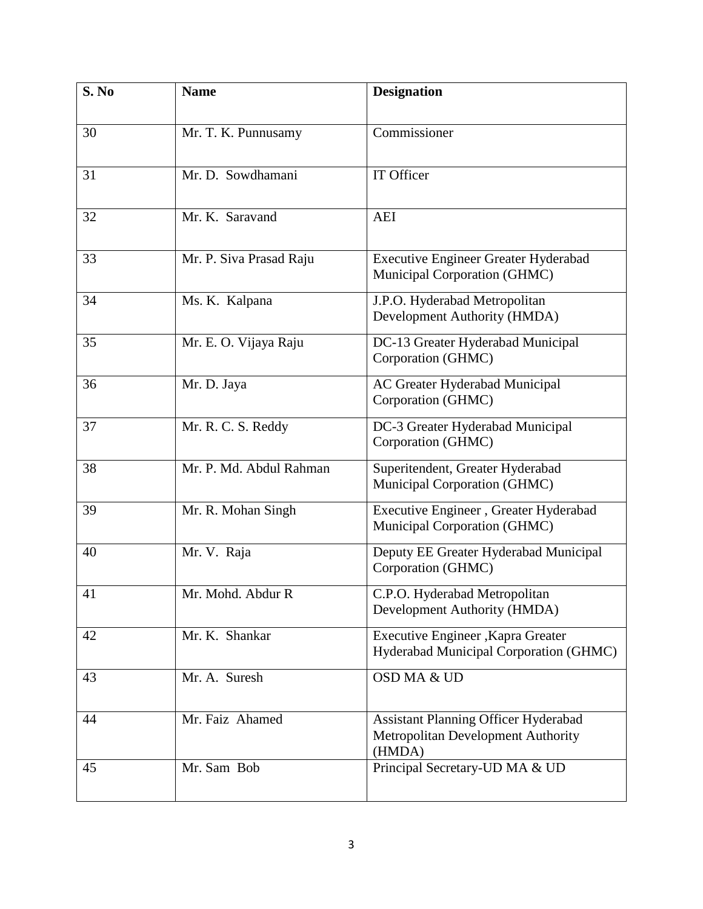| S. No | <b>Name</b>             | <b>Designation</b>                                                                          |
|-------|-------------------------|---------------------------------------------------------------------------------------------|
| 30    | Mr. T. K. Punnusamy     | Commissioner                                                                                |
| 31    | Mr. D. Sowdhamani       | IT Officer                                                                                  |
| 32    | Mr. K. Saravand         | <b>AEI</b>                                                                                  |
| 33    | Mr. P. Siva Prasad Raju | <b>Executive Engineer Greater Hyderabad</b><br>Municipal Corporation (GHMC)                 |
| 34    | Ms. K. Kalpana          | J.P.O. Hyderabad Metropolitan<br>Development Authority (HMDA)                               |
| 35    | Mr. E. O. Vijaya Raju   | DC-13 Greater Hyderabad Municipal<br>Corporation (GHMC)                                     |
| 36    | Mr. D. Jaya             | AC Greater Hyderabad Municipal<br>Corporation (GHMC)                                        |
| 37    | Mr. R. C. S. Reddy      | DC-3 Greater Hyderabad Municipal<br>Corporation (GHMC)                                      |
| 38    | Mr. P. Md. Abdul Rahman | Superitendent, Greater Hyderabad<br>Municipal Corporation (GHMC)                            |
| 39    | Mr. R. Mohan Singh      | Executive Engineer, Greater Hyderabad<br>Municipal Corporation (GHMC)                       |
| 40    | Mr. V. Raja             | Deputy EE Greater Hyderabad Municipal<br>Corporation (GHMC)                                 |
| 41    | Mr. Mohd. Abdur R       | C.P.O. Hyderabad Metropolitan<br>Development Authority (HMDA)                               |
| 42    | Mr. K. Shankar          | Executive Engineer , Kapra Greater<br>Hyderabad Municipal Corporation (GHMC)                |
| 43    | Mr. A. Suresh           | OSD MA & UD                                                                                 |
| 44    | Mr. Faiz Ahamed         | <b>Assistant Planning Officer Hyderabad</b><br>Metropolitan Development Authority<br>(HMDA) |
| 45    | Mr. Sam Bob             | Principal Secretary-UD MA & UD                                                              |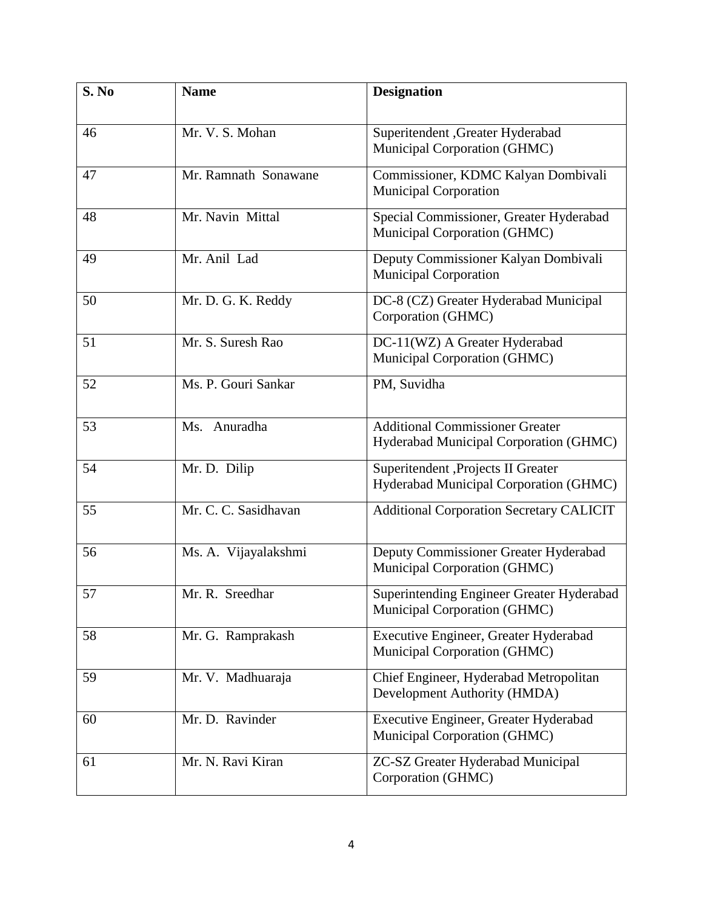| S. No | <b>Name</b>          | <b>Designation</b>                                                               |
|-------|----------------------|----------------------------------------------------------------------------------|
| 46    | Mr. V. S. Mohan      | Superitendent , Greater Hyderabad<br>Municipal Corporation (GHMC)                |
| 47    | Mr. Ramnath Sonawane | Commissioner, KDMC Kalyan Dombivali<br><b>Municipal Corporation</b>              |
| 48    | Mr. Navin Mittal     | Special Commissioner, Greater Hyderabad<br>Municipal Corporation (GHMC)          |
| 49    | Mr. Anil Lad         | Deputy Commissioner Kalyan Dombivali<br><b>Municipal Corporation</b>             |
| 50    | Mr. D. G. K. Reddy   | DC-8 (CZ) Greater Hyderabad Municipal<br>Corporation (GHMC)                      |
| 51    | Mr. S. Suresh Rao    | DC-11(WZ) A Greater Hyderabad<br>Municipal Corporation (GHMC)                    |
| 52    | Ms. P. Gouri Sankar  | PM, Suvidha                                                                      |
| 53    | Ms. Anuradha         | <b>Additional Commissioner Greater</b><br>Hyderabad Municipal Corporation (GHMC) |
| 54    | Mr. D. Dilip         | Superitendent , Projects II Greater<br>Hyderabad Municipal Corporation (GHMC)    |
| 55    | Mr. C. C. Sasidhavan | <b>Additional Corporation Secretary CALICIT</b>                                  |
| 56    | Ms. A. Vijayalakshmi | Deputy Commissioner Greater Hyderabad<br>Municipal Corporation (GHMC)            |
| 57    | Mr. R. Sreedhar      | Superintending Engineer Greater Hyderabad<br>Municipal Corporation (GHMC)        |
| 58    | Mr. G. Ramprakash    | Executive Engineer, Greater Hyderabad<br>Municipal Corporation (GHMC)            |
| 59    | Mr. V. Madhuaraja    | Chief Engineer, Hyderabad Metropolitan<br>Development Authority (HMDA)           |
| 60    | Mr. D. Ravinder      | Executive Engineer, Greater Hyderabad<br>Municipal Corporation (GHMC)            |
| 61    | Mr. N. Ravi Kiran    | ZC-SZ Greater Hyderabad Municipal<br>Corporation (GHMC)                          |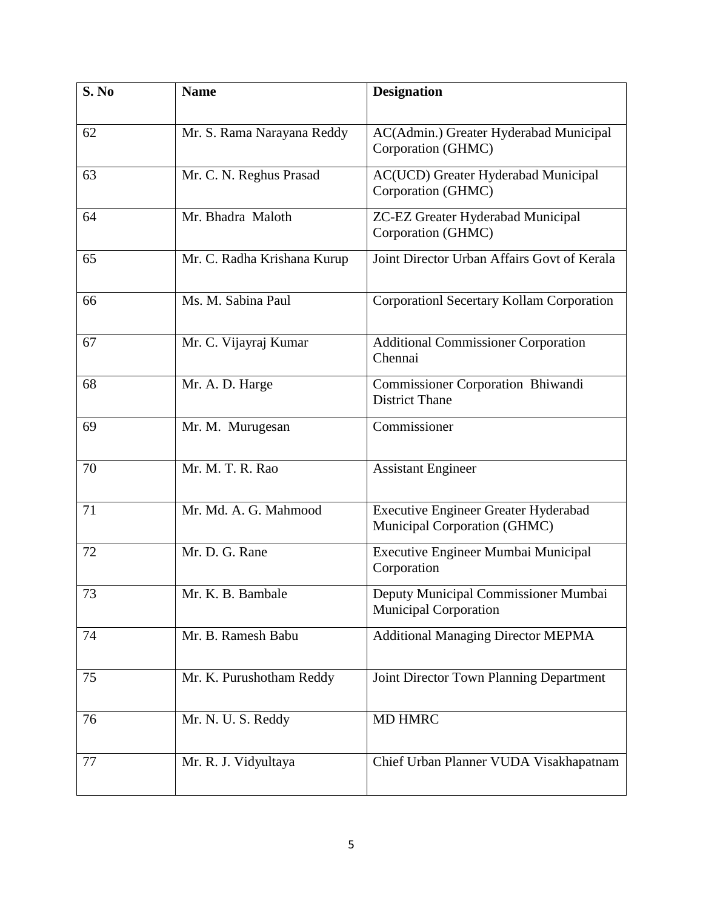| S. No | <b>Name</b>                 | <b>Designation</b>                                                   |
|-------|-----------------------------|----------------------------------------------------------------------|
| 62    | Mr. S. Rama Narayana Reddy  | AC(Admin.) Greater Hyderabad Municipal<br>Corporation (GHMC)         |
| 63    | Mr. C. N. Reghus Prasad     | AC(UCD) Greater Hyderabad Municipal<br>Corporation (GHMC)            |
| 64    | Mr. Bhadra Maloth           | ZC-EZ Greater Hyderabad Municipal<br>Corporation (GHMC)              |
| 65    | Mr. C. Radha Krishana Kurup | Joint Director Urban Affairs Govt of Kerala                          |
| 66    | Ms. M. Sabina Paul          | Corporationl Secertary Kollam Corporation                            |
| 67    | Mr. C. Vijayraj Kumar       | <b>Additional Commissioner Corporation</b><br>Chennai                |
| 68    | Mr. A. D. Harge             | Commissioner Corporation Bhiwandi<br><b>District Thane</b>           |
| 69    | Mr. M. Murugesan            | Commissioner                                                         |
| 70    | Mr. M. T. R. Rao            | <b>Assistant Engineer</b>                                            |
| 71    | Mr. Md. A. G. Mahmood       | Executive Engineer Greater Hyderabad<br>Municipal Corporation (GHMC) |
| 72    | Mr. D. G. Rane              | Executive Engineer Mumbai Municipal<br>Corporation                   |
| 73    | Mr. K. B. Bambale           | Deputy Municipal Commissioner Mumbai<br><b>Municipal Corporation</b> |
| 74    | Mr. B. Ramesh Babu          | <b>Additional Managing Director MEPMA</b>                            |
| 75    | Mr. K. Purushotham Reddy    | Joint Director Town Planning Department                              |
| 76    | Mr. N. U. S. Reddy          | MD HMRC                                                              |
| 77    | Mr. R. J. Vidyultaya        | Chief Urban Planner VUDA Visakhapatnam                               |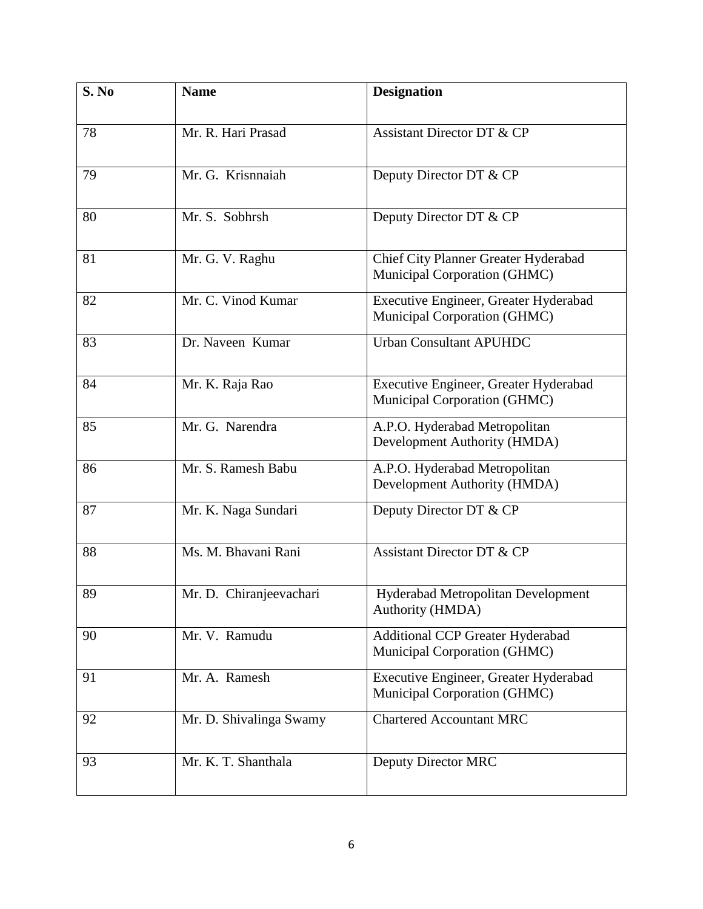| S. No | <b>Name</b>             | <b>Designation</b>                                                    |
|-------|-------------------------|-----------------------------------------------------------------------|
| 78    | Mr. R. Hari Prasad      | <b>Assistant Director DT &amp; CP</b>                                 |
| 79    | Mr. G. Krisnnaiah       | Deputy Director DT & CP                                               |
| 80    | Mr. S. Sobhrsh          | Deputy Director DT & CP                                               |
| 81    | Mr. G. V. Raghu         | Chief City Planner Greater Hyderabad<br>Municipal Corporation (GHMC)  |
| 82    | Mr. C. Vinod Kumar      | Executive Engineer, Greater Hyderabad<br>Municipal Corporation (GHMC) |
| 83    | Dr. Naveen Kumar        | <b>Urban Consultant APUHDC</b>                                        |
| 84    | Mr. K. Raja Rao         | Executive Engineer, Greater Hyderabad<br>Municipal Corporation (GHMC) |
| 85    | Mr. G. Narendra         | A.P.O. Hyderabad Metropolitan<br>Development Authority (HMDA)         |
| 86    | Mr. S. Ramesh Babu      | A.P.O. Hyderabad Metropolitan<br>Development Authority (HMDA)         |
| 87    | Mr. K. Naga Sundari     | Deputy Director DT & CP                                               |
| 88    | Ms. M. Bhavani Rani     | <b>Assistant Director DT &amp; CP</b>                                 |
| 89    | Mr. D. Chiranjeevachari | Hyderabad Metropolitan Development<br>Authority (HMDA)                |
| 90    | Mr. V. Ramudu           | Additional CCP Greater Hyderabad<br>Municipal Corporation (GHMC)      |
| 91    | Mr. A. Ramesh           | Executive Engineer, Greater Hyderabad<br>Municipal Corporation (GHMC) |
| 92    | Mr. D. Shivalinga Swamy | <b>Chartered Accountant MRC</b>                                       |
| 93    | Mr. K. T. Shanthala     | Deputy Director MRC                                                   |